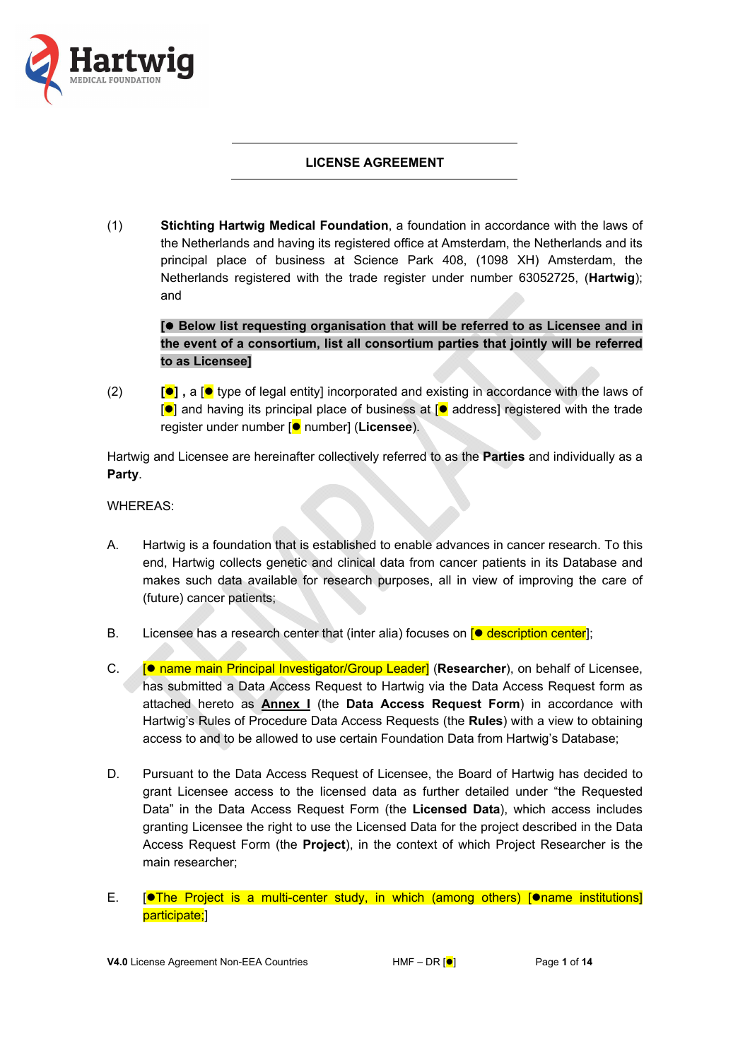

## **LICENSE AGREEMENT**

(1) **Stichting Hartwig Medical Foundation**, a foundation in accordance with the laws of the Netherlands and having its registered office at Amsterdam, the Netherlands and its principal place of business at Science Park 408, (1098 XH) Amsterdam, the Netherlands registered with the trade register under number 63052725, (**Hartwig**); and

**[ Below list requesting organisation that will be referred to as Licensee and in the event of a consortium, list all consortium parties that jointly will be referred to as Licensee]** 

(2) **[] ,** a [ type of legal entity] incorporated and existing in accordance with the laws of  $\lceil \bullet \rceil$  and having its principal place of business at  $\lceil \bullet \rceil$  address] registered with the trade register under number [<sup>o</sup> number] (**Licensee**).

Hartwig and Licensee are hereinafter collectively referred to as the **Parties** and individually as a **Party**.

WHEREAS:

- A. Hartwig is a foundation that is established to enable advances in cancer research. To this end, Hartwig collects genetic and clinical data from cancer patients in its Database and makes such data available for research purposes, all in view of improving the care of (future) cancer patients;
- B. Licensee has a research center that (inter alia) focuses on  $\blacksquare$  description center.
- C. **For name main Principal Investigator/Group Leader] (Researcher)**, on behalf of Licensee, has submitted a Data Access Request to Hartwig via the Data Access Request form as attached hereto as **Annex I** (the **Data Access Request Form**) in accordance with Hartwig's Rules of Procedure Data Access Requests (the **Rules**) with a view to obtaining access to and to be allowed to use certain Foundation Data from Hartwig's Database;
- D. Pursuant to the Data Access Request of Licensee, the Board of Hartwig has decided to grant Licensee access to the licensed data as further detailed under "the Requested Data" in the Data Access Request Form (the **Licensed Data**), which access includes granting Licensee the right to use the Licensed Data for the project described in the Data Access Request Form (the **Project**), in the context of which Project Researcher is the main researcher;
- E.  $[•]$ The Project is a multi-center study, in which (among others) [ $•$ name institutions] participate;]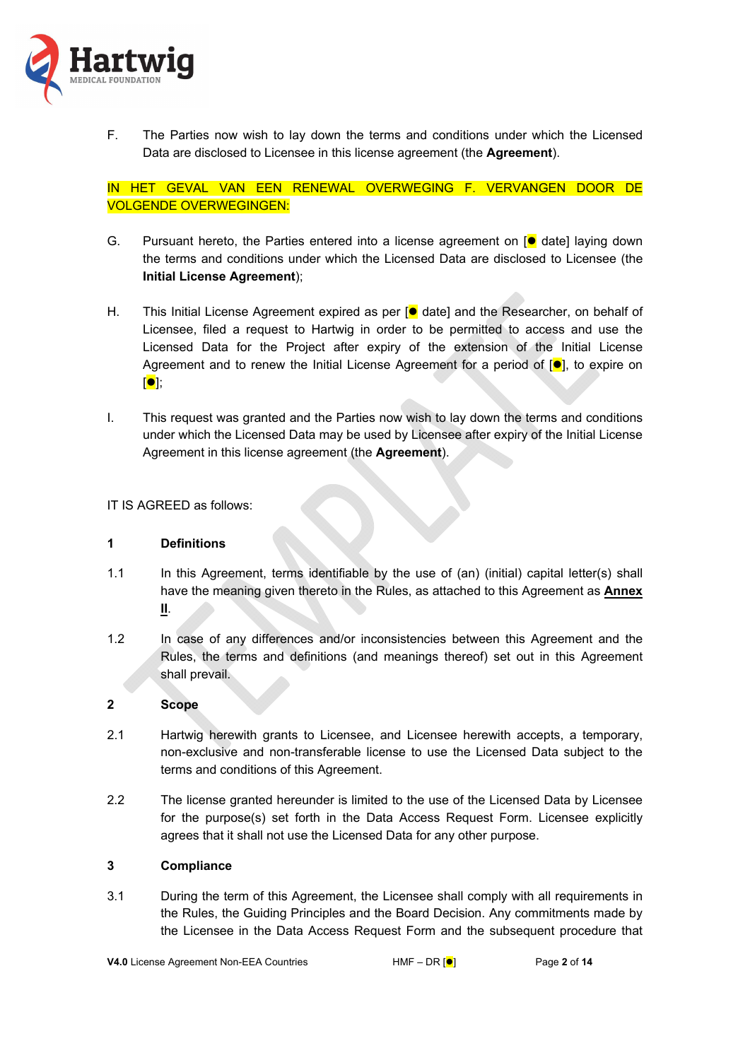

F. The Parties now wish to lay down the terms and conditions under which the Licensed Data are disclosed to Licensee in this license agreement (the **Agreement**).

IN HET GEVAL VAN EEN RENEWAL OVERWEGING F. VERVANGEN DOOR DE VOLGENDE OVERWEGINGEN:

- G. Pursuant hereto, the Parties entered into a license agreement on  $[•]$  date] laying down the terms and conditions under which the Licensed Data are disclosed to Licensee (the **Initial License Agreement**);
- H. This Initial License Agreement expired as per  $\left[ \bullet \right]$  date] and the Researcher, on behalf of Licensee, filed a request to Hartwig in order to be permitted to access and use the Licensed Data for the Project after expiry of the extension of the Initial License Agreement and to renew the Initial License Agreement for a period of  $\left[\bullet\right]$ , to expire on  $\blacksquare$
- I. This request was granted and the Parties now wish to lay down the terms and conditions under which the Licensed Data may be used by Licensee after expiry of the Initial License Agreement in this license agreement (the **Agreement**).

IT IS AGREED as follows:

### **1 Definitions**

- 1.1 In this Agreement, terms identifiable by the use of (an) (initial) capital letter(s) shall have the meaning given thereto in the Rules, as attached to this Agreement as **Annex II**.
- 1.2 In case of any differences and/or inconsistencies between this Agreement and the Rules, the terms and definitions (and meanings thereof) set out in this Agreement shall prevail.

### **2 Scope**

- 2.1 Hartwig herewith grants to Licensee, and Licensee herewith accepts, a temporary, non-exclusive and non-transferable license to use the Licensed Data subject to the terms and conditions of this Agreement.
- 2.2 The license granted hereunder is limited to the use of the Licensed Data by Licensee for the purpose(s) set forth in the Data Access Request Form. Licensee explicitly agrees that it shall not use the Licensed Data for any other purpose.

### **3 Compliance**

3.1 During the term of this Agreement, the Licensee shall comply with all requirements in the Rules, the Guiding Principles and the Board Decision. Any commitments made by the Licensee in the Data Access Request Form and the subsequent procedure that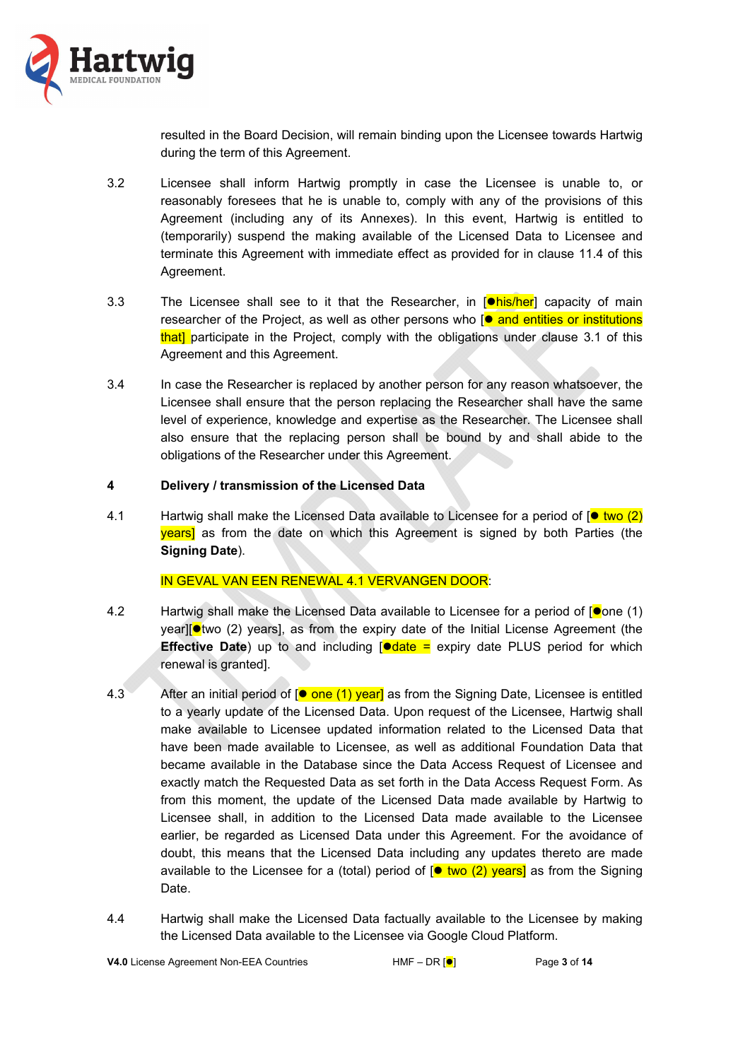

resulted in the Board Decision, will remain binding upon the Licensee towards Hartwig during the term of this Agreement.

- 3.2 Licensee shall inform Hartwig promptly in case the Licensee is unable to, or reasonably foresees that he is unable to, comply with any of the provisions of this Agreement (including any of its Annexes). In this event, Hartwig is entitled to (temporarily) suspend the making available of the Licensed Data to Licensee and terminate this Agreement with immediate effect as provided for in clause 11.4 of this Agreement.
- 3.3 The Licensee shall see to it that the Researcher, in  $\phi$ his/her] capacity of main researcher of the Project, as well as other persons who  $\phi$  and entities or institutions that] participate in the Project, comply with the obligations under clause 3.1 of this Agreement and this Agreement.
- 3.4 In case the Researcher is replaced by another person for any reason whatsoever, the Licensee shall ensure that the person replacing the Researcher shall have the same level of experience, knowledge and expertise as the Researcher. The Licensee shall also ensure that the replacing person shall be bound by and shall abide to the obligations of the Researcher under this Agreement.

### **4 Delivery / transmission of the Licensed Data**

4.1 Hartwig shall make the Licensed Data available to Licensee for a period of  $\circ$  two (2) **years** as from the date on which this Agreement is signed by both Parties (the **Signing Date**).

### IN GEVAL VAN EEN RENEWAL 4.1 VERVANGEN DOOR:

- 4.2 Hartwig shall make the Licensed Data available to Licensee for a period of  $\bullet$  one (1) year] $\bullet$  two (2) years], as from the expiry date of the Initial License Agreement (the **Effective Date**) up to and including  $\text{[} \bullet \text{date} = \text{expr}$  date PLUS period for which renewal is granted].
- 4.3 After an initial period of  $\left[ \bullet \right]$  one (1) year as from the Signing Date, Licensee is entitled to a yearly update of the Licensed Data. Upon request of the Licensee, Hartwig shall make available to Licensee updated information related to the Licensed Data that have been made available to Licensee, as well as additional Foundation Data that became available in the Database since the Data Access Request of Licensee and exactly match the Requested Data as set forth in the Data Access Request Form. As from this moment, the update of the Licensed Data made available by Hartwig to Licensee shall, in addition to the Licensed Data made available to the Licensee earlier, be regarded as Licensed Data under this Agreement. For the avoidance of doubt, this means that the Licensed Data including any updates thereto are made available to the Licensee for a (total) period of  $\phi$  two (2) years) as from the Signing Date.
- 4.4 Hartwig shall make the Licensed Data factually available to the Licensee by making the Licensed Data available to the Licensee via Google Cloud Platform.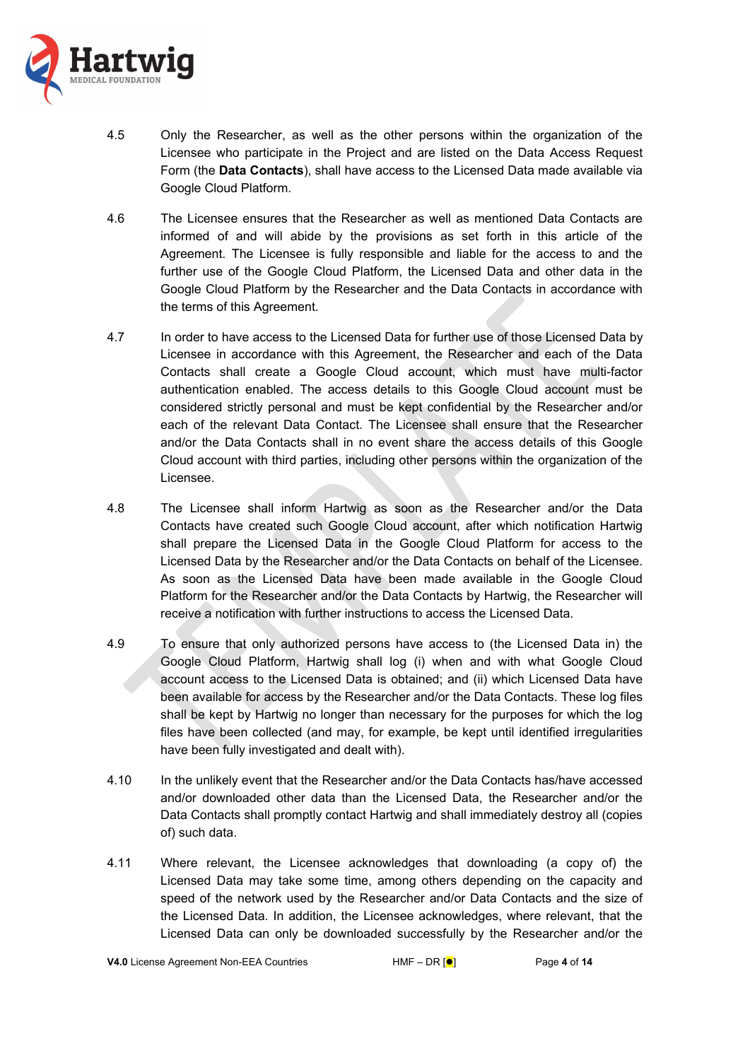

- 4.5 Only the Researcher, as well as the other persons within the organization of the Licensee who participate in the Project and are listed on the Data Access Request Form (the **Data Contacts**), shall have access to the Licensed Data made available via Google Cloud Platform.
- 4.6 The Licensee ensures that the Researcher as well as mentioned Data Contacts are informed of and will abide by the provisions as set forth in this article of the Agreement. The Licensee is fully responsible and liable for the access to and the further use of the Google Cloud Platform, the Licensed Data and other data in the Google Cloud Platform by the Researcher and the Data Contacts in accordance with the terms of this Agreement.
- 4.7 In order to have access to the Licensed Data for further use of those Licensed Data by Licensee in accordance with this Agreement, the Researcher and each of the Data Contacts shall create a Google Cloud account, which must have multi-factor authentication enabled. The access details to this Google Cloud account must be considered strictly personal and must be kept confidential by the Researcher and/or each of the relevant Data Contact. The Licensee shall ensure that the Researcher and/or the Data Contacts shall in no event share the access details of this Google Cloud account with third parties, including other persons within the organization of the Licensee.
- 4.8 The Licensee shall inform Hartwig as soon as the Researcher and/or the Data Contacts have created such Google Cloud account, after which notification Hartwig shall prepare the Licensed Data in the Google Cloud Platform for access to the Licensed Data by the Researcher and/or the Data Contacts on behalf of the Licensee. As soon as the Licensed Data have been made available in the Google Cloud Platform for the Researcher and/or the Data Contacts by Hartwig, the Researcher will receive a notification with further instructions to access the Licensed Data.
- 4.9 To ensure that only authorized persons have access to (the Licensed Data in) the Google Cloud Platform, Hartwig shall log (i) when and with what Google Cloud account access to the Licensed Data is obtained; and (ii) which Licensed Data have been available for access by the Researcher and/or the Data Contacts. These log files shall be kept by Hartwig no longer than necessary for the purposes for which the log files have been collected (and may, for example, be kept until identified irregularities have been fully investigated and dealt with).
- 4.10 In the unlikely event that the Researcher and/or the Data Contacts has/have accessed and/or downloaded other data than the Licensed Data, the Researcher and/or the Data Contacts shall promptly contact Hartwig and shall immediately destroy all (copies of) such data.
- 4.11 Where relevant, the Licensee acknowledges that downloading (a copy of) the Licensed Data may take some time, among others depending on the capacity and speed of the network used by the Researcher and/or Data Contacts and the size of the Licensed Data. In addition, the Licensee acknowledges, where relevant, that the Licensed Data can only be downloaded successfully by the Researcher and/or the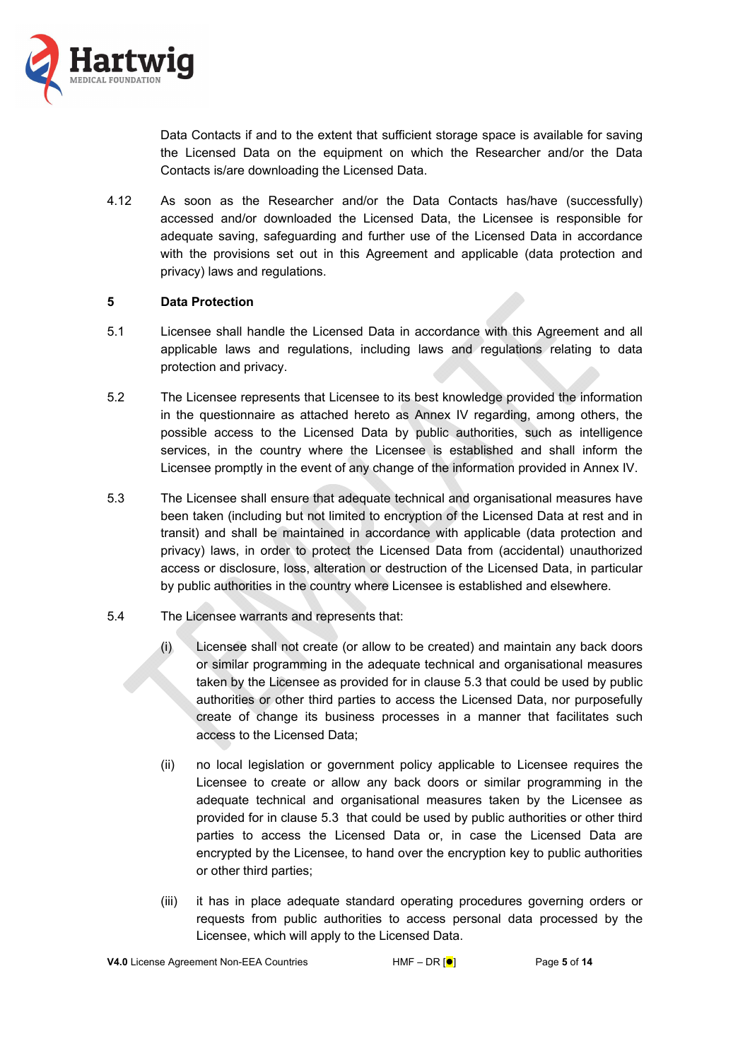

Data Contacts if and to the extent that sufficient storage space is available for saving the Licensed Data on the equipment on which the Researcher and/or the Data Contacts is/are downloading the Licensed Data.

4.12 As soon as the Researcher and/or the Data Contacts has/have (successfully) accessed and/or downloaded the Licensed Data, the Licensee is responsible for adequate saving, safeguarding and further use of the Licensed Data in accordance with the provisions set out in this Agreement and applicable (data protection and privacy) laws and regulations.

## **5 Data Protection**

- 5.1 Licensee shall handle the Licensed Data in accordance with this Agreement and all applicable laws and regulations, including laws and regulations relating to data protection and privacy.
- 5.2 The Licensee represents that Licensee to its best knowledge provided the information in the questionnaire as attached hereto as Annex IV regarding, among others, the possible access to the Licensed Data by public authorities, such as intelligence services, in the country where the Licensee is established and shall inform the Licensee promptly in the event of any change of the information provided in Annex IV.
- 5.3 The Licensee shall ensure that adequate technical and organisational measures have been taken (including but not limited to encryption of the Licensed Data at rest and in transit) and shall be maintained in accordance with applicable (data protection and privacy) laws, in order to protect the Licensed Data from (accidental) unauthorized access or disclosure, loss, alteration or destruction of the Licensed Data, in particular by public authorities in the country where Licensee is established and elsewhere.
- 5.4 The Licensee warrants and represents that:
	- (i) Licensee shall not create (or allow to be created) and maintain any back doors or similar programming in the adequate technical and organisational measures taken by the Licensee as provided for in clause 5.3 that could be used by public authorities or other third parties to access the Licensed Data, nor purposefully create of change its business processes in a manner that facilitates such access to the Licensed Data;
	- (ii) no local legislation or government policy applicable to Licensee requires the Licensee to create or allow any back doors or similar programming in the adequate technical and organisational measures taken by the Licensee as provided for in clause 5.3 that could be used by public authorities or other third parties to access the Licensed Data or, in case the Licensed Data are encrypted by the Licensee, to hand over the encryption key to public authorities or other third parties;
	- (iii) it has in place adequate standard operating procedures governing orders or requests from public authorities to access personal data processed by the Licensee, which will apply to the Licensed Data.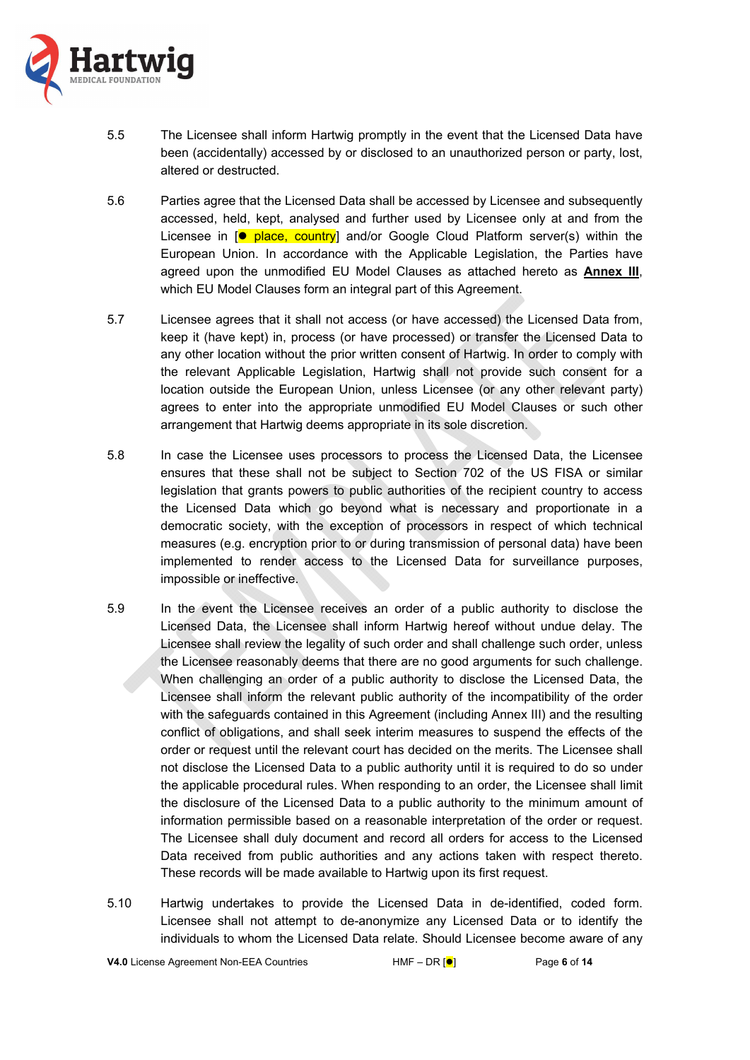

- 5.5 The Licensee shall inform Hartwig promptly in the event that the Licensed Data have been (accidentally) accessed by or disclosed to an unauthorized person or party, lost, altered or destructed.
- 5.6 Parties agree that the Licensed Data shall be accessed by Licensee and subsequently accessed, held, kept, analysed and further used by Licensee only at and from the Licensee in  $\left[ \bullet \right]$  place, country] and/or Google Cloud Platform server(s) within the European Union. In accordance with the Applicable Legislation, the Parties have agreed upon the unmodified EU Model Clauses as attached hereto as **Annex III**, which EU Model Clauses form an integral part of this Agreement.
- 5.7 Licensee agrees that it shall not access (or have accessed) the Licensed Data from, keep it (have kept) in, process (or have processed) or transfer the Licensed Data to any other location without the prior written consent of Hartwig. In order to comply with the relevant Applicable Legislation, Hartwig shall not provide such consent for a location outside the European Union, unless Licensee (or any other relevant party) agrees to enter into the appropriate unmodified EU Model Clauses or such other arrangement that Hartwig deems appropriate in its sole discretion.
- 5.8 In case the Licensee uses processors to process the Licensed Data, the Licensee ensures that these shall not be subject to Section 702 of the US FISA or similar legislation that grants powers to public authorities of the recipient country to access the Licensed Data which go beyond what is necessary and proportionate in a democratic society, with the exception of processors in respect of which technical measures (e.g. encryption prior to or during transmission of personal data) have been implemented to render access to the Licensed Data for surveillance purposes, impossible or ineffective.
- 5.9 In the event the Licensee receives an order of a public authority to disclose the Licensed Data, the Licensee shall inform Hartwig hereof without undue delay. The Licensee shall review the legality of such order and shall challenge such order, unless the Licensee reasonably deems that there are no good arguments for such challenge. When challenging an order of a public authority to disclose the Licensed Data, the Licensee shall inform the relevant public authority of the incompatibility of the order with the safeguards contained in this Agreement (including Annex III) and the resulting conflict of obligations, and shall seek interim measures to suspend the effects of the order or request until the relevant court has decided on the merits. The Licensee shall not disclose the Licensed Data to a public authority until it is required to do so under the applicable procedural rules. When responding to an order, the Licensee shall limit the disclosure of the Licensed Data to a public authority to the minimum amount of information permissible based on a reasonable interpretation of the order or request. The Licensee shall duly document and record all orders for access to the Licensed Data received from public authorities and any actions taken with respect thereto. These records will be made available to Hartwig upon its first request.
- 5.10 Hartwig undertakes to provide the Licensed Data in de-identified, coded form. Licensee shall not attempt to de-anonymize any Licensed Data or to identify the individuals to whom the Licensed Data relate. Should Licensee become aware of any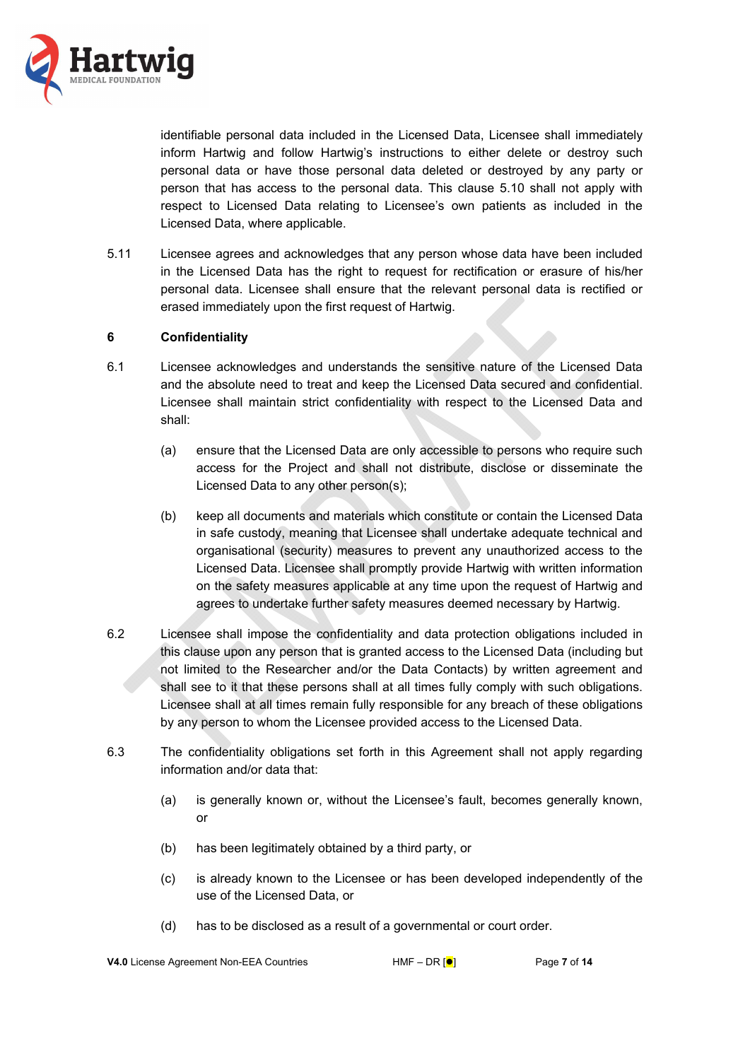

identifiable personal data included in the Licensed Data, Licensee shall immediately inform Hartwig and follow Hartwig's instructions to either delete or destroy such personal data or have those personal data deleted or destroyed by any party or person that has access to the personal data. This clause 5.10 shall not apply with respect to Licensed Data relating to Licensee's own patients as included in the Licensed Data, where applicable.

5.11 Licensee agrees and acknowledges that any person whose data have been included in the Licensed Data has the right to request for rectification or erasure of his/her personal data. Licensee shall ensure that the relevant personal data is rectified or erased immediately upon the first request of Hartwig.

## **6 Confidentiality**

- 6.1 Licensee acknowledges and understands the sensitive nature of the Licensed Data and the absolute need to treat and keep the Licensed Data secured and confidential. Licensee shall maintain strict confidentiality with respect to the Licensed Data and shall:
	- (a) ensure that the Licensed Data are only accessible to persons who require such access for the Project and shall not distribute, disclose or disseminate the Licensed Data to any other person(s);
	- (b) keep all documents and materials which constitute or contain the Licensed Data in safe custody, meaning that Licensee shall undertake adequate technical and organisational (security) measures to prevent any unauthorized access to the Licensed Data. Licensee shall promptly provide Hartwig with written information on the safety measures applicable at any time upon the request of Hartwig and agrees to undertake further safety measures deemed necessary by Hartwig.
- 6.2 Licensee shall impose the confidentiality and data protection obligations included in this clause upon any person that is granted access to the Licensed Data (including but not limited to the Researcher and/or the Data Contacts) by written agreement and shall see to it that these persons shall at all times fully comply with such obligations. Licensee shall at all times remain fully responsible for any breach of these obligations by any person to whom the Licensee provided access to the Licensed Data.
- 6.3 The confidentiality obligations set forth in this Agreement shall not apply regarding information and/or data that:
	- (a) is generally known or, without the Licensee's fault, becomes generally known, or
	- (b) has been legitimately obtained by a third party, or
	- (c) is already known to the Licensee or has been developed independently of the use of the Licensed Data, or
	- (d) has to be disclosed as a result of a governmental or court order.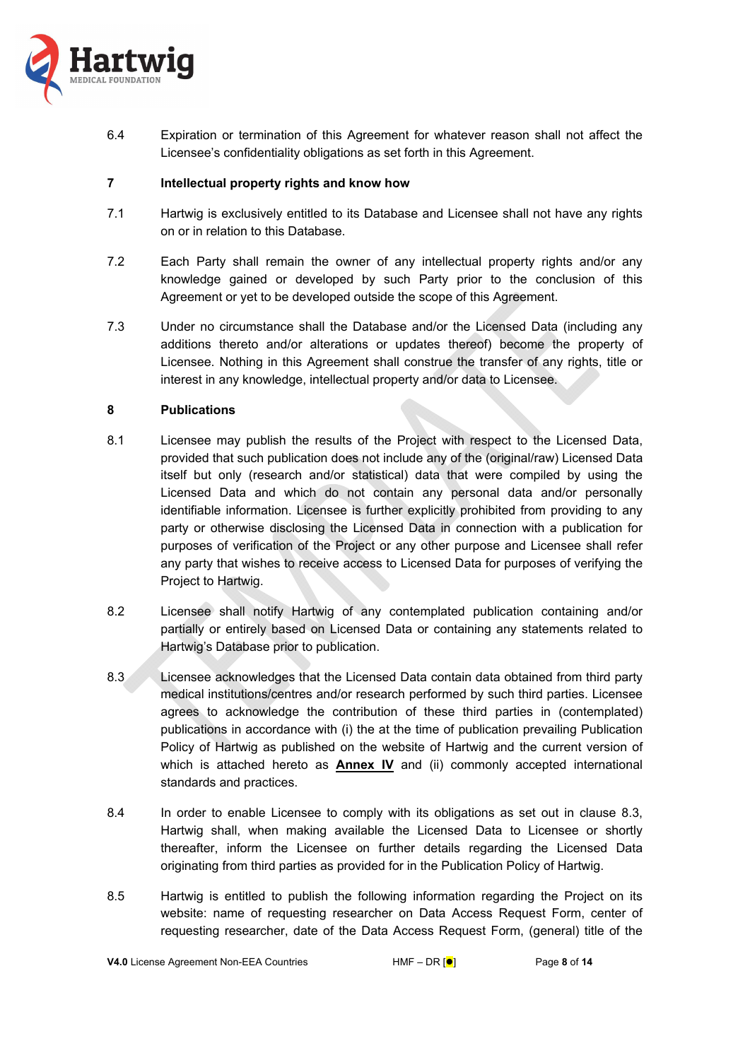

6.4 Expiration or termination of this Agreement for whatever reason shall not affect the Licensee's confidentiality obligations as set forth in this Agreement.

## **7 Intellectual property rights and know how**

- 7.1 Hartwig is exclusively entitled to its Database and Licensee shall not have any rights on or in relation to this Database.
- 7.2 Each Party shall remain the owner of any intellectual property rights and/or any knowledge gained or developed by such Party prior to the conclusion of this Agreement or yet to be developed outside the scope of this Agreement.
- 7.3 Under no circumstance shall the Database and/or the Licensed Data (including any additions thereto and/or alterations or updates thereof) become the property of Licensee. Nothing in this Agreement shall construe the transfer of any rights, title or interest in any knowledge, intellectual property and/or data to Licensee.

## **8 Publications**

- 8.1 Licensee may publish the results of the Project with respect to the Licensed Data, provided that such publication does not include any of the (original/raw) Licensed Data itself but only (research and/or statistical) data that were compiled by using the Licensed Data and which do not contain any personal data and/or personally identifiable information. Licensee is further explicitly prohibited from providing to any party or otherwise disclosing the Licensed Data in connection with a publication for purposes of verification of the Project or any other purpose and Licensee shall refer any party that wishes to receive access to Licensed Data for purposes of verifying the Project to Hartwig.
- 8.2 Licensee shall notify Hartwig of any contemplated publication containing and/or partially or entirely based on Licensed Data or containing any statements related to Hartwig's Database prior to publication.
- 8.3 Licensee acknowledges that the Licensed Data contain data obtained from third party medical institutions/centres and/or research performed by such third parties. Licensee agrees to acknowledge the contribution of these third parties in (contemplated) publications in accordance with (i) the at the time of publication prevailing Publication Policy of Hartwig as published on the website of Hartwig and the current version of which is attached hereto as **Annex IV** and (ii) commonly accepted international standards and practices.
- 8.4 In order to enable Licensee to comply with its obligations as set out in clause 8.3, Hartwig shall, when making available the Licensed Data to Licensee or shortly thereafter, inform the Licensee on further details regarding the Licensed Data originating from third parties as provided for in the Publication Policy of Hartwig.
- 8.5 Hartwig is entitled to publish the following information regarding the Project on its website: name of requesting researcher on Data Access Request Form, center of requesting researcher, date of the Data Access Request Form, (general) title of the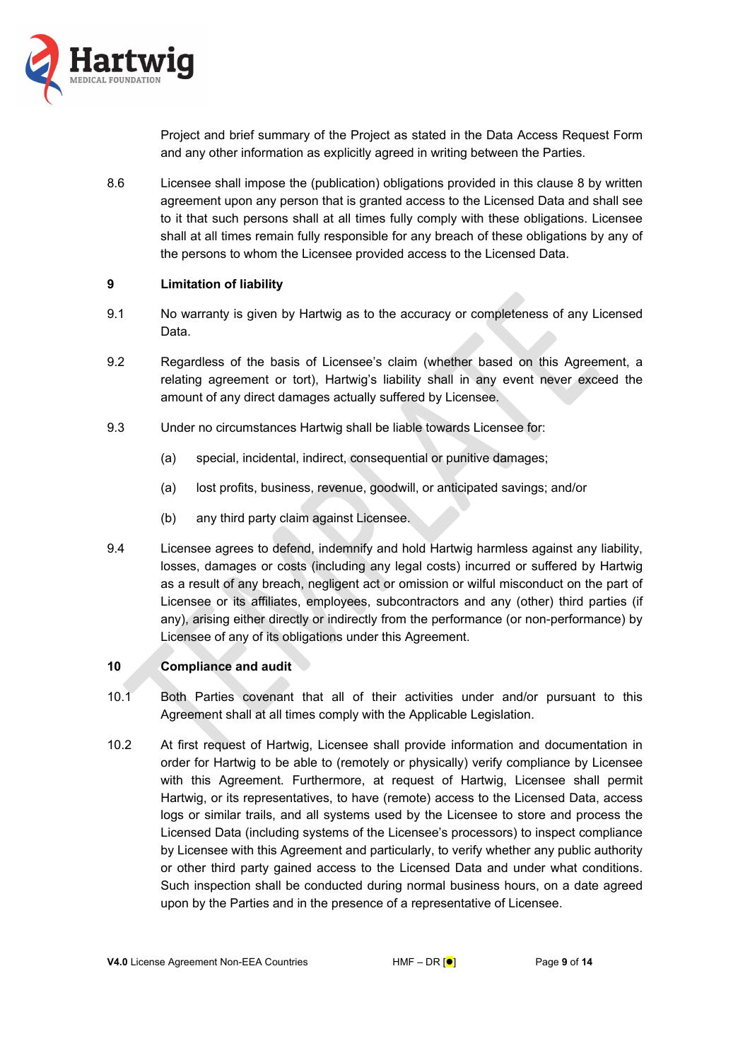

Project and brief summary of the Project as stated in the Data Access Request Form and any other information as explicitly agreed in writing between the Parties.

8.6 Licensee shall impose the (publication) obligations provided in this clause 8 by written agreement upon any person that is granted access to the Licensed Data and shall see to it that such persons shall at all times fully comply with these obligations. Licensee shall at all times remain fully responsible for any breach of these obligations by any of the persons to whom the Licensee provided access to the Licensed Data.

### **9 Limitation of liability**

- 9.1 No warranty is given by Hartwig as to the accuracy or completeness of any Licensed Data.
- 9.2 Regardless of the basis of Licensee's claim (whether based on this Agreement, a relating agreement or tort), Hartwig's liability shall in any event never exceed the amount of any direct damages actually suffered by Licensee.
- 9.3 Under no circumstances Hartwig shall be liable towards Licensee for:
	- (a) special, incidental, indirect, consequential or punitive damages;
	- (a) lost profits, business, revenue, goodwill, or anticipated savings; and/or
	- (b) any third party claim against Licensee.
- 9.4 Licensee agrees to defend, indemnify and hold Hartwig harmless against any liability, losses, damages or costs (including any legal costs) incurred or suffered by Hartwig as a result of any breach, negligent act or omission or wilful misconduct on the part of Licensee or its affiliates, employees, subcontractors and any (other) third parties (if any), arising either directly or indirectly from the performance (or non-performance) by Licensee of any of its obligations under this Agreement.

### **10 Compliance and audit**

- 10.1 Both Parties covenant that all of their activities under and/or pursuant to this Agreement shall at all times comply with the Applicable Legislation.
- 10.2 At first request of Hartwig, Licensee shall provide information and documentation in order for Hartwig to be able to (remotely or physically) verify compliance by Licensee with this Agreement. Furthermore, at request of Hartwig, Licensee shall permit Hartwig, or its representatives, to have (remote) access to the Licensed Data, access logs or similar trails, and all systems used by the Licensee to store and process the Licensed Data (including systems of the Licensee's processors) to inspect compliance by Licensee with this Agreement and particularly, to verify whether any public authority or other third party gained access to the Licensed Data and under what conditions. Such inspection shall be conducted during normal business hours, on a date agreed upon by the Parties and in the presence of a representative of Licensee.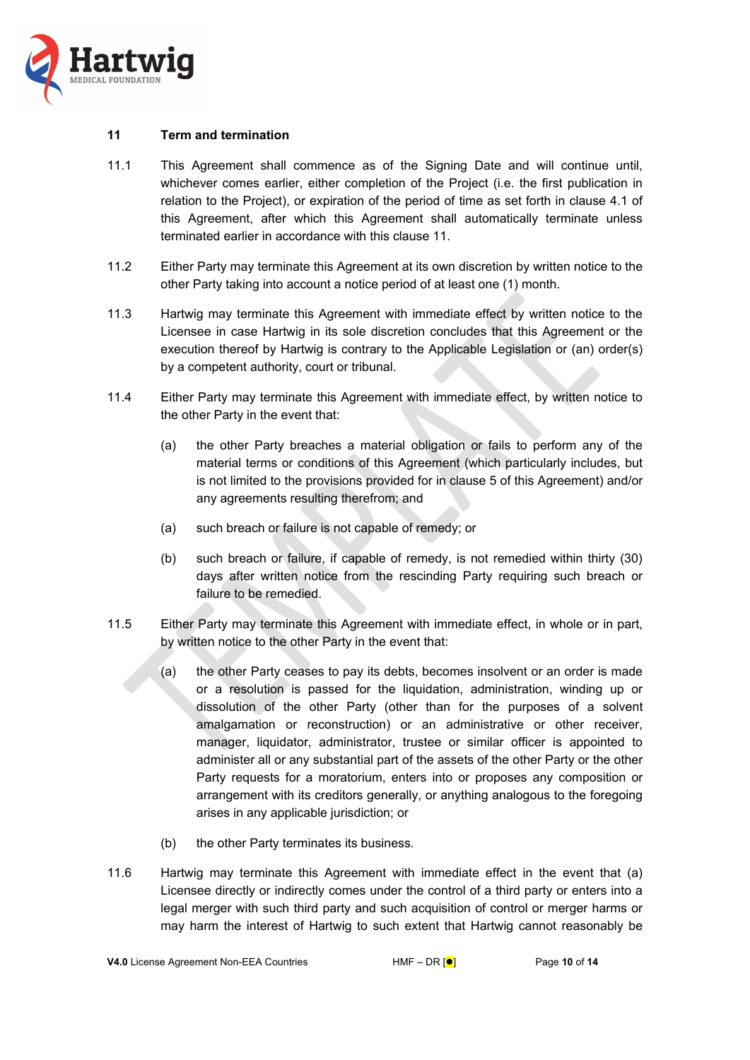

#### **11 Term and termination**

- 11.1 This Agreement shall commence as of the Signing Date and will continue until, whichever comes earlier, either completion of the Project (i.e. the first publication in relation to the Project), or expiration of the period of time as set forth in clause 4.1 of this Agreement, after which this Agreement shall automatically terminate unless terminated earlier in accordance with this clause 11.
- 11.2 Either Party may terminate this Agreement at its own discretion by written notice to the other Party taking into account a notice period of at least one (1) month.
- 11.3 Hartwig may terminate this Agreement with immediate effect by written notice to the Licensee in case Hartwig in its sole discretion concludes that this Agreement or the execution thereof by Hartwig is contrary to the Applicable Legislation or (an) order(s) by a competent authority, court or tribunal.
- 11.4 Either Party may terminate this Agreement with immediate effect, by written notice to the other Party in the event that:
	- (a) the other Party breaches a material obligation or fails to perform any of the material terms or conditions of this Agreement (which particularly includes, but is not limited to the provisions provided for in clause 5 of this Agreement) and/or any agreements resulting therefrom; and
	- (a) such breach or failure is not capable of remedy; or
	- (b) such breach or failure, if capable of remedy, is not remedied within thirty (30) days after written notice from the rescinding Party requiring such breach or failure to be remedied.
- 11.5 Either Party may terminate this Agreement with immediate effect, in whole or in part, by written notice to the other Party in the event that:
	- (a) the other Party ceases to pay its debts, becomes insolvent or an order is made or a resolution is passed for the liquidation, administration, winding up or dissolution of the other Party (other than for the purposes of a solvent amalgamation or reconstruction) or an administrative or other receiver, manager, liquidator, administrator, trustee or similar officer is appointed to administer all or any substantial part of the assets of the other Party or the other Party requests for a moratorium, enters into or proposes any composition or arrangement with its creditors generally, or anything analogous to the foregoing arises in any applicable jurisdiction; or
	- (b) the other Party terminates its business.
- 11.6 Hartwig may terminate this Agreement with immediate effect in the event that (a) Licensee directly or indirectly comes under the control of a third party or enters into a legal merger with such third party and such acquisition of control or merger harms or may harm the interest of Hartwig to such extent that Hartwig cannot reasonably be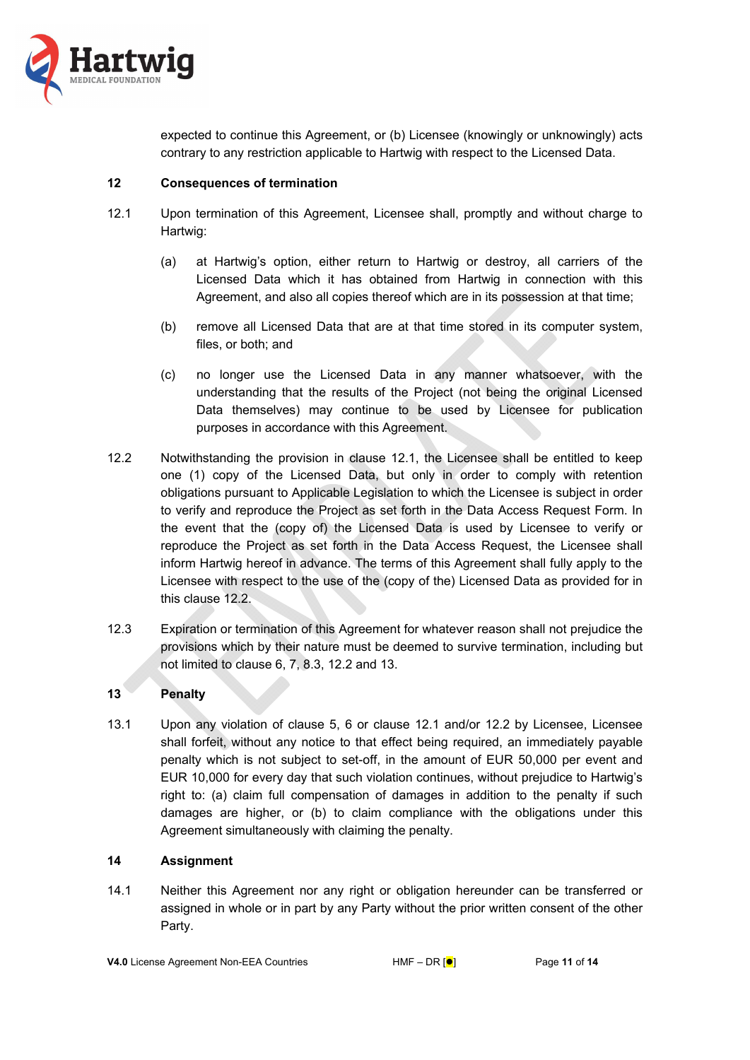

expected to continue this Agreement, or (b) Licensee (knowingly or unknowingly) acts contrary to any restriction applicable to Hartwig with respect to the Licensed Data.

### **12 Consequences of termination**

- 12.1 Upon termination of this Agreement, Licensee shall, promptly and without charge to Hartwig:
	- (a) at Hartwig's option, either return to Hartwig or destroy, all carriers of the Licensed Data which it has obtained from Hartwig in connection with this Agreement, and also all copies thereof which are in its possession at that time;
	- (b) remove all Licensed Data that are at that time stored in its computer system, files, or both; and
	- (c) no longer use the Licensed Data in any manner whatsoever, with the understanding that the results of the Project (not being the original Licensed Data themselves) may continue to be used by Licensee for publication purposes in accordance with this Agreement.
- 12.2 Notwithstanding the provision in clause 12.1, the Licensee shall be entitled to keep one (1) copy of the Licensed Data, but only in order to comply with retention obligations pursuant to Applicable Legislation to which the Licensee is subject in order to verify and reproduce the Project as set forth in the Data Access Request Form. In the event that the (copy of) the Licensed Data is used by Licensee to verify or reproduce the Project as set forth in the Data Access Request, the Licensee shall inform Hartwig hereof in advance. The terms of this Agreement shall fully apply to the Licensee with respect to the use of the (copy of the) Licensed Data as provided for in this clause 12.2.
- 12.3 Expiration or termination of this Agreement for whatever reason shall not prejudice the provisions which by their nature must be deemed to survive termination, including but not limited to clause 6, 7, 8.3, 12.2 and 13.

# **13 Penalty**

13.1 Upon any violation of clause 5, 6 or clause 12.1 and/or 12.2 by Licensee, Licensee shall forfeit, without any notice to that effect being required, an immediately payable penalty which is not subject to set-off, in the amount of EUR 50,000 per event and EUR 10,000 for every day that such violation continues, without prejudice to Hartwig's right to: (a) claim full compensation of damages in addition to the penalty if such damages are higher, or (b) to claim compliance with the obligations under this Agreement simultaneously with claiming the penalty.

### **14 Assignment**

14.1 Neither this Agreement nor any right or obligation hereunder can be transferred or assigned in whole or in part by any Party without the prior written consent of the other Party.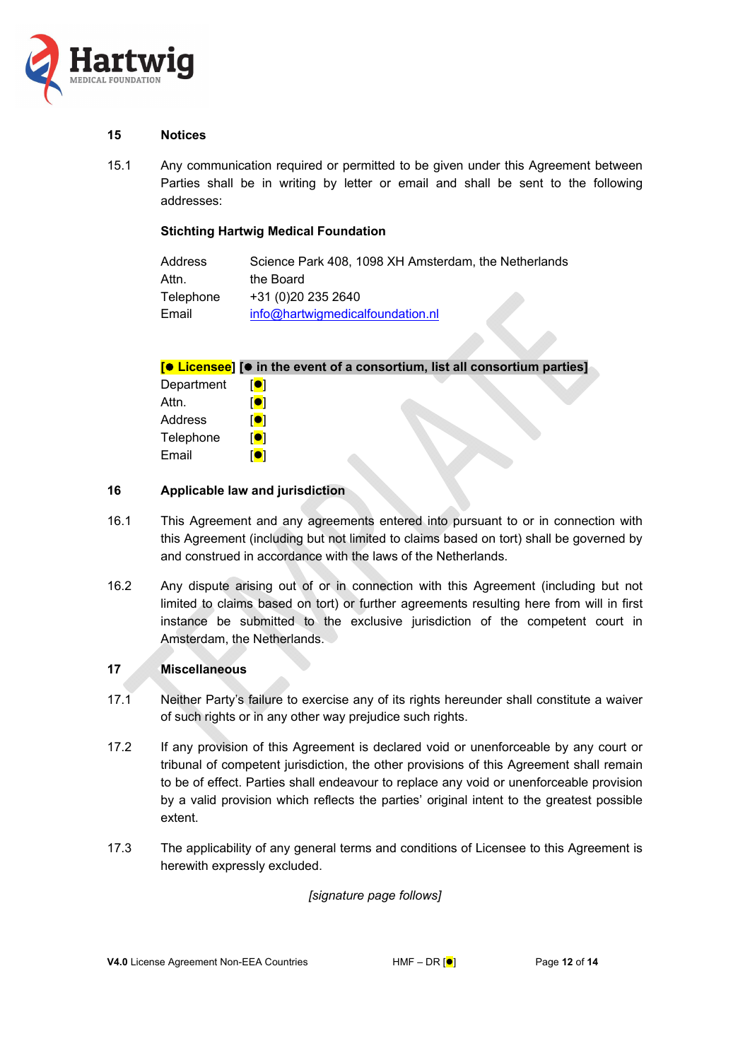

## **15 Notices**

15.1 Any communication required or permitted to be given under this Agreement between Parties shall be in writing by letter or email and shall be sent to the following addresses:

### **Stichting Hartwig Medical Foundation**

| Address   | Science Park 408, 1098 XH Amsterdam, the Netherlands |  |
|-----------|------------------------------------------------------|--|
| Attn.     | the Board                                            |  |
| Telephone | +31 (0)20 235 2640                                   |  |
| Email     | info@hartwigmedicalfoundation.nl                     |  |

**[ Licensee] [ in the event of a consortium, list all consortium parties]** 

| Department | <b>101</b>     |
|------------|----------------|
| Attn.      | $\blacksquare$ |
| Address    | $\blacksquare$ |
| Telephone  | <b>101</b>     |
| Email      | <b>101</b>     |

## **16 Applicable law and jurisdiction**

- 16.1 This Agreement and any agreements entered into pursuant to or in connection with this Agreement (including but not limited to claims based on tort) shall be governed by and construed in accordance with the laws of the Netherlands.
- 16.2 Any dispute arising out of or in connection with this Agreement (including but not limited to claims based on tort) or further agreements resulting here from will in first instance be submitted to the exclusive jurisdiction of the competent court in Amsterdam, the Netherlands.

### **17 Miscellaneous**

- 17.1 Neither Party's failure to exercise any of its rights hereunder shall constitute a waiver of such rights or in any other way prejudice such rights.
- 17.2 If any provision of this Agreement is declared void or unenforceable by any court or tribunal of competent jurisdiction, the other provisions of this Agreement shall remain to be of effect. Parties shall endeavour to replace any void or unenforceable provision by a valid provision which reflects the parties' original intent to the greatest possible extent.
- 17.3 The applicability of any general terms and conditions of Licensee to this Agreement is herewith expressly excluded.

*[signature page follows]*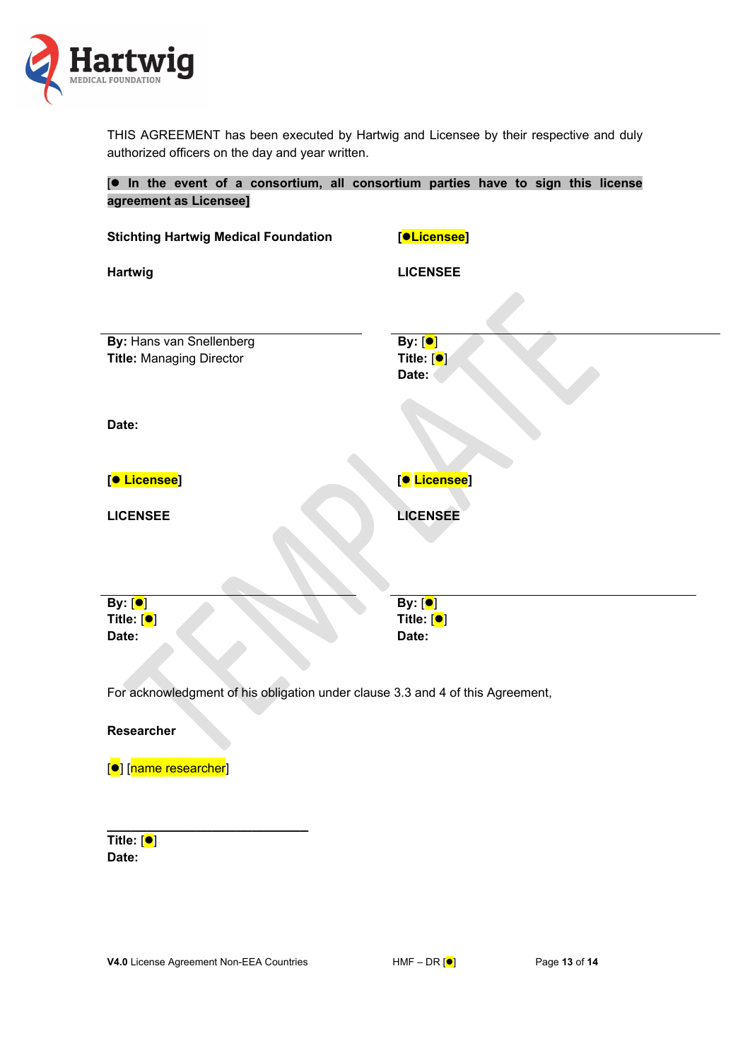

THIS AGREEMENT has been executed by Hartwig and Licensee by their respective and duly authorized officers on the day and year written.

| [. In the event of a consortium, all consortium parties have to sign this license<br>agreement as Licensee] |                                                            |  |  |  |
|-------------------------------------------------------------------------------------------------------------|------------------------------------------------------------|--|--|--|
| <b>Stichting Hartwig Medical Foundation</b>                                                                 | [ <mark>●Licensee</mark> ]                                 |  |  |  |
| Hartwig                                                                                                     | <b>LICENSEE</b>                                            |  |  |  |
| By: Hans van Snellenberg<br><b>Title: Managing Director</b>                                                 | By: [ <mark>●</mark> ]<br>Title: [ <sup>●</sup> ]<br>Date: |  |  |  |
| Date:                                                                                                       |                                                            |  |  |  |
| [ <sup>●</sup> Licensee]                                                                                    | [● Licensee]                                               |  |  |  |
| <b>LICENSEE</b>                                                                                             | <b>LICENSEE</b>                                            |  |  |  |
| By: [ <sup>●</sup> ]<br>Title: $[•]$<br>Date:                                                               | By: [ <mark>●</mark> ]<br>Title: $[•]$<br>Date:            |  |  |  |
| For acknowledgment of his obligation under clause 3.3 and 4 of this Agreement,                              |                                                            |  |  |  |
| <b>Researcher</b>                                                                                           |                                                            |  |  |  |

[●] [name researcher]

| Title: [●] |  |
|------------|--|
| Date:      |  |

**\_\_\_\_\_\_\_\_\_\_\_\_\_\_\_\_\_\_\_\_\_\_\_\_\_**